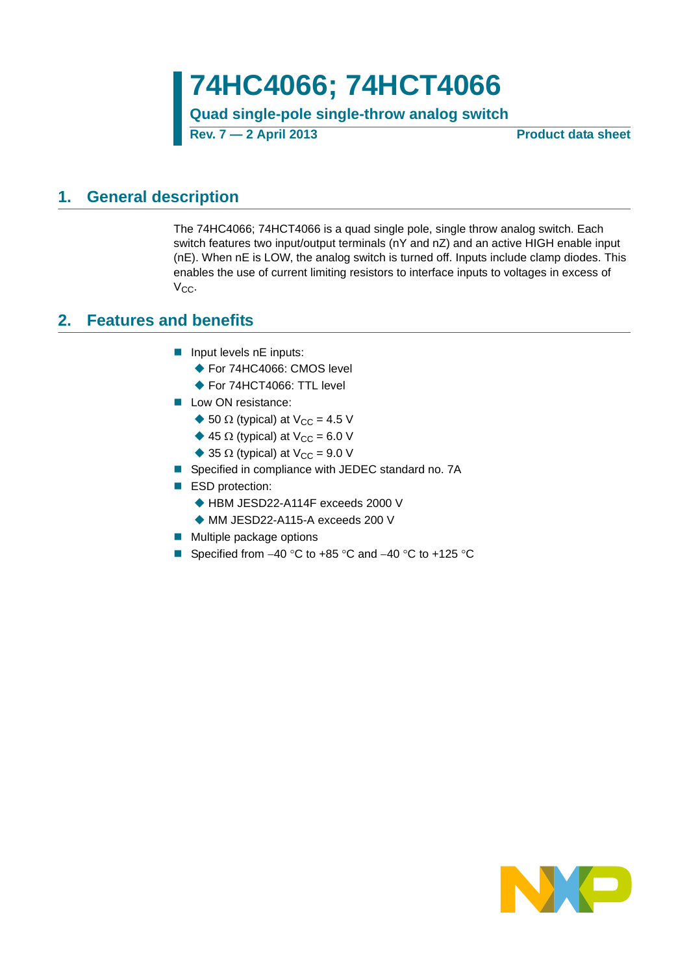**74HC4066; 74HCT4066**

**Quad single-pole single-throw analog switch Rev. 7 — 2 April 2013 Product data sheet**

### <span id="page-0-0"></span>**1. General description**

The 74HC4066; 74HCT4066 is a quad single pole, single throw analog switch. Each switch features two input/output terminals (nY and nZ) and an active HIGH enable input (nE). When nE is LOW, the analog switch is turned off. Inputs include clamp diodes. This enables the use of current limiting resistors to interface inputs to voltages in excess of  $V_{CC}$ .

### <span id="page-0-1"></span>**2. Features and benefits**

- $\blacksquare$  Input levels nE inputs:
	- ◆ For 74HC4066: CMOS level
	- ◆ For 74HCT4066: TTL level
- Low ON resistance:
	- $\blacklozenge$  50  $\Omega$  (typical) at V<sub>CC</sub> = 4.5 V
	- $\triangle$  45  $\Omega$  (typical) at V<sub>CC</sub> = 6.0 V
	- $\triangleq$  35  $\Omega$  (typical) at V<sub>CC</sub> = 9.0 V
- Specified in compliance with JEDEC standard no. 7A
- ESD protection:
	- ◆ HBM JESD22-A114F exceeds 2000 V
	- ◆ MM JESD22-A115-A exceeds 200 V
- **Multiple package options**
- Specified from  $-40$  °C to  $+85$  °C and  $-40$  °C to  $+125$  °C

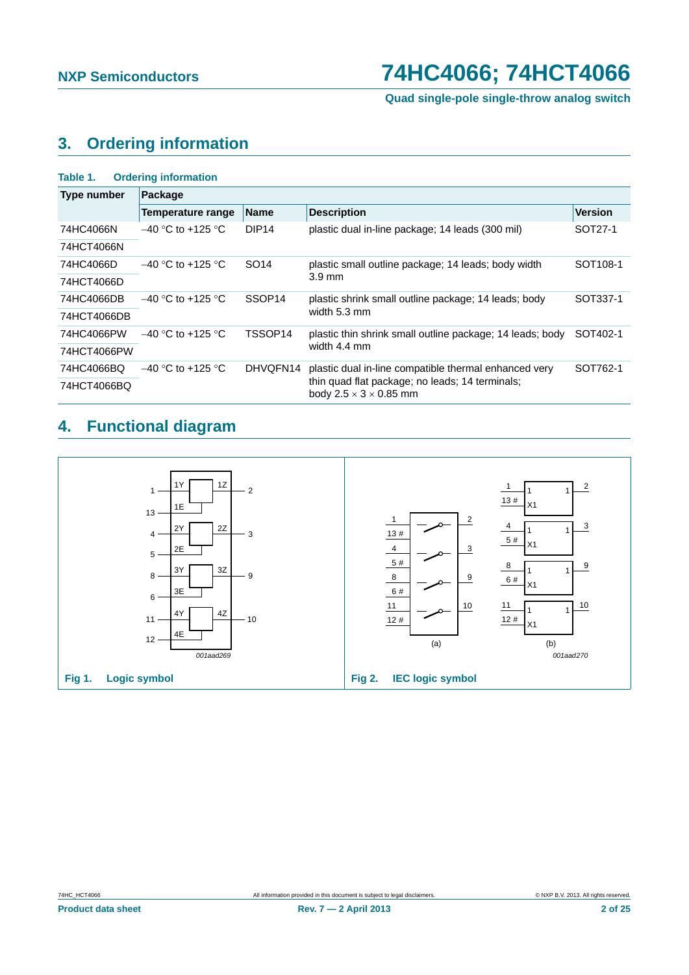## <span id="page-1-0"></span>**3. Ordering information**

| Table 1.           | <b>Ordering information</b> |                    |                                                                                         |                      |  |
|--------------------|-----------------------------|--------------------|-----------------------------------------------------------------------------------------|----------------------|--|
| <b>Type number</b> | Package                     |                    |                                                                                         |                      |  |
|                    | Temperature range           | <b>Name</b>        | <b>Description</b>                                                                      | <b>Version</b>       |  |
| 74HC4066N          | $-40$ °C to +125 °C         | DIP <sub>14</sub>  | plastic dual in-line package; 14 leads (300 mil)                                        | SOT27-1              |  |
| 74HCT4066N         |                             |                    |                                                                                         |                      |  |
| 74HC4066D          | $-40$ °C to +125 °C         | SO <sub>14</sub>   | plastic small outline package; 14 leads; body width                                     | SOT <sub>108-1</sub> |  |
| 74HCT4066D         |                             |                    | $3.9 \text{ mm}$                                                                        |                      |  |
| 74HC4066DB         | $-40$ °C to +125 °C         | SSOP <sub>14</sub> | plastic shrink small outline package; 14 leads; body                                    | SOT337-1             |  |
| 74HCT4066DB        |                             |                    | width 5.3 mm                                                                            |                      |  |
| 74HC4066PW         | $-40$ °C to +125 °C         | TSSOP14            | plastic thin shrink small outline package; 14 leads; body                               | SOT402-1             |  |
| 74HCT4066PW        |                             |                    | width 4.4 mm                                                                            |                      |  |
| 74HC4066BQ         | $-40$ °C to +125 °C         | DHVQFN14           | plastic dual in-line compatible thermal enhanced very                                   | SOT762-1             |  |
| 74HCT4066BQ        |                             |                    | thin quad flat package; no leads; 14 terminals;<br>body 2.5 $\times$ 3 $\times$ 0.85 mm |                      |  |

## <span id="page-1-1"></span>**4. Functional diagram**

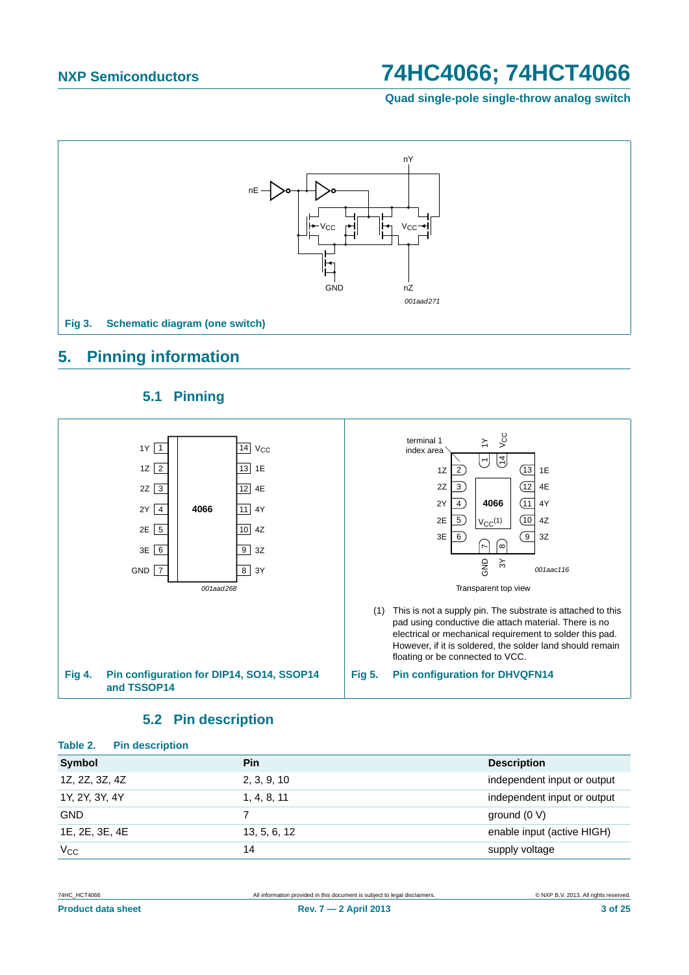**Quad single-pole single-throw analog switch**



### <span id="page-2-0"></span>**5. Pinning information**

<span id="page-2-1"></span>

### **5.1 Pinning**

### **5.2 Pin description**

<span id="page-2-2"></span>

| <b>Pin</b>   | <b>Description</b>          |
|--------------|-----------------------------|
| 2, 3, 9, 10  | independent input or output |
| 1, 4, 8, 11  | independent input or output |
|              | ground $(0 V)$              |
| 13, 5, 6, 12 | enable input (active HIGH)  |
| 14           | supply voltage              |
|              |                             |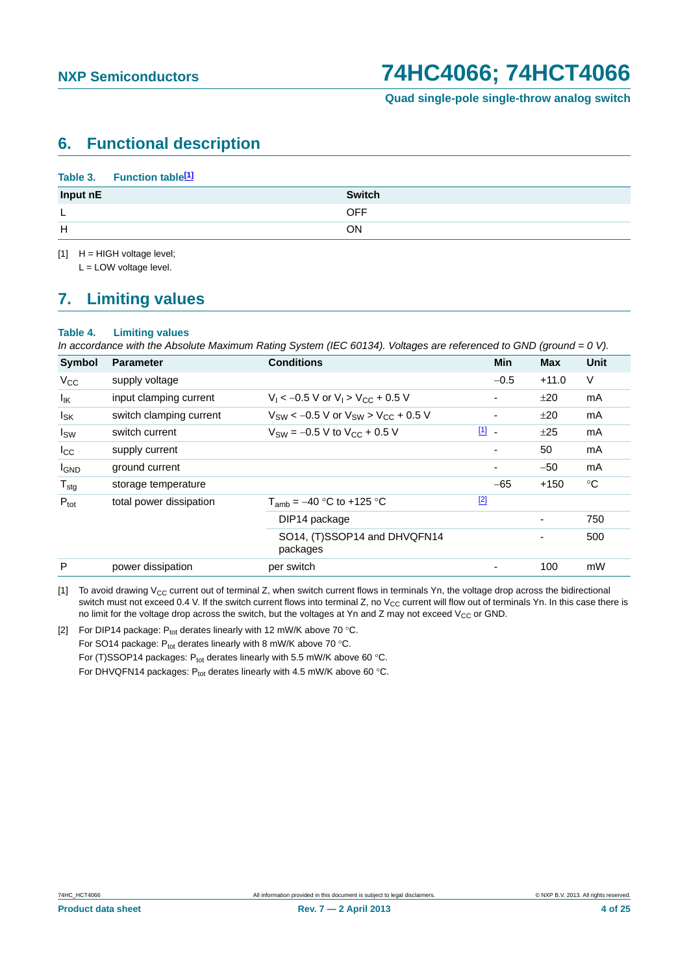### <span id="page-3-3"></span>**6. Functional description**

#### **Table 3. Function tabl[e\[1\]](#page-3-0)**

| Input nE | <b>Switch</b> |
|----------|---------------|
| -        | <b>OFF</b>    |
| H        | ON            |

<span id="page-3-0"></span> $[1]$  H = HIGH voltage level;

L = LOW voltage level.

## <span id="page-3-4"></span>**7. Limiting values**

#### **Table 4. Limiting values**

*In accordance with the Absolute Maximum Rating System (IEC 60134). Voltages are referenced to GND (ground = 0 V).*

| Symbol            | <b>Parameter</b>        | <b>Conditions</b>                                | <b>Min</b> | <b>Max</b>               | <b>Unit</b> |
|-------------------|-------------------------|--------------------------------------------------|------------|--------------------------|-------------|
| $V_{CC}$          | supply voltage          |                                                  | $-0.5$     | $+11.0$                  | V           |
| $I_{\mathsf{IK}}$ | input clamping current  | $V_1$ < -0.5 V or $V_1$ > $V_{CC}$ + 0.5 V       |            | ±20                      | mA          |
| $I_{SK}$          | switch clamping current | $V_{SW}$ < -0.5 V or $V_{SW}$ > $V_{CC}$ + 0.5 V | ٠          | ±20                      | mA          |
| $I_{SW}$          | switch current          | $V_{SW} = -0.5 V$ to $V_{CC} + 0.5 V$            | 凹 -        | ±25                      | mA          |
| $I_{\rm CC}$      | supply current          |                                                  |            | 50                       | mA          |
| <b>I</b> GND      | ground current          |                                                  |            | $-50$                    | mA          |
| $T_{\text{stg}}$  | storage temperature     |                                                  | $-65$      | $+150$                   | $^{\circ}C$ |
| $P_{\text{tot}}$  | total power dissipation | $T_{amb} = -40$ °C to +125 °C                    | $[2]$      |                          |             |
|                   |                         | DIP14 package                                    |            | $\overline{\phantom{0}}$ | 750         |
|                   |                         | SO14, (T)SSOP14 and DHVQFN14<br>packages         |            |                          | 500         |
| P                 | power dissipation       | per switch                                       |            | 100                      | mW          |

<span id="page-3-1"></span>[1] To avoid drawing  $V_{CC}$  current out of terminal Z, when switch current flows in terminals Yn, the voltage drop across the bidirectional switch must not exceed 0.4 V. If the switch current flows into terminal Z, no V<sub>CC</sub> current will flow out of terminals Yn. In this case there is no limit for the voltage drop across the switch, but the voltages at Yn and Z may not exceed  $V_{CC}$  or GND.

<span id="page-3-2"></span>[2] For DIP14 package:  $P_{tot}$  derates linearly with 12 mW/K above 70 °C. For SO14 package:  $P_{\text{tot}}$  derates linearly with 8 mW/K above 70 °C. For (T)SSOP14 packages:  $P_{tot}$  derates linearly with 5.5 mW/K above 60 °C. For DHVQFN14 packages:  $P_{tot}$  derates linearly with 4.5 mW/K above 60 °C.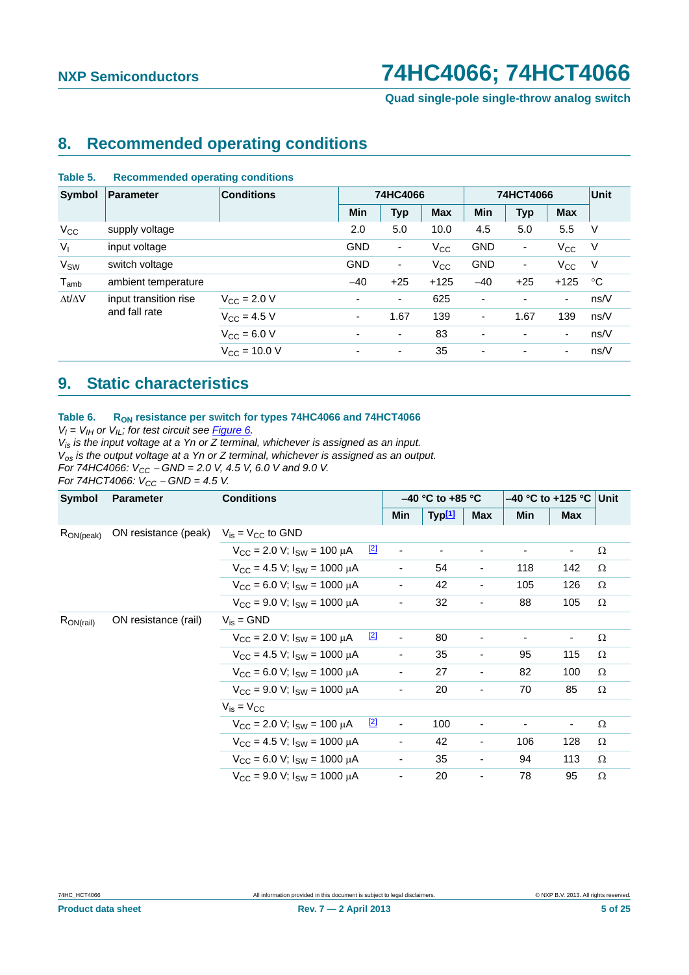**Quad single-pole single-throw analog switch**

### <span id="page-4-0"></span>**8. Recommended operating conditions**

#### **Table 5. Recommended operating conditions**

| Symbol                | <b>Parameter</b>      | <b>Conditions</b>       | 74HC4066                 |                          |              | 74HCT4066                |                          |                          | Unit |
|-----------------------|-----------------------|-------------------------|--------------------------|--------------------------|--------------|--------------------------|--------------------------|--------------------------|------|
|                       |                       |                         | <b>Min</b>               | <b>Typ</b>               | <b>Max</b>   | <b>Min</b>               | <b>Typ</b>               | <b>Max</b>               |      |
| $V_{\rm CC}$          | supply voltage        |                         | 2.0                      | 5.0                      | 10.0         | 4.5                      | 5.0                      | 5.5                      | V    |
| $V_{I}$               | input voltage         |                         | <b>GND</b>               | $\overline{\phantom{a}}$ | $V_{\rm CC}$ | <b>GND</b>               | ۰.                       | $V_{\rm CC}$             | V    |
| <b>V<sub>SW</sub></b> | switch voltage        |                         | <b>GND</b>               | $\overline{\phantom{a}}$ | $V_{\rm CC}$ | <b>GND</b>               | ۰.                       | $V_{\rm CC}$             | V    |
| $T_{amb}$             | ambient temperature   |                         | $-40$                    | $+25$                    | $+125$       | $-40$                    | $+25$                    | $+125$                   | °C   |
| $\Delta t/\Delta V$   | input transition rise | $V_{\text{C}C} = 2.0 V$ | $\blacksquare$           | $\overline{\phantom{a}}$ | 625          | $\blacksquare$           |                          | $\overline{\phantom{a}}$ | ns/V |
|                       | and fall rate         | $V_{CC}$ = 4.5 V        | ٠                        | 1.67                     | 139          | $\overline{\phantom{a}}$ | 1.67                     | 139                      | ns/V |
|                       |                       | $V_{\text{CC}} = 6.0 V$ | $\blacksquare$           | $\overline{\phantom{a}}$ | 83           | $\blacksquare$           | $\overline{\phantom{a}}$ | $\blacksquare$           | ns/V |
|                       |                       | $V_{CC}$ = 10.0 V       | $\overline{\phantom{a}}$ | ٠                        | 35           | $\overline{\phantom{a}}$ | $\overline{\phantom{0}}$ | ٠                        | ns/V |

### <span id="page-4-1"></span>**9. Static characteristics**

#### Table 6. R<sub>ON</sub> resistance per switch for types 74HC4066 and 74HCT4066

 $V_I = V_{II}$  or  $V_{IL}$ ; for test circuit see *Figure 6.* 

*Vis is the input voltage at a Yn or Z terminal, whichever is assigned as an input.*

*Vos is the output voltage at a Yn or Z terminal, whichever is assigned as an output.*

*For 74HC4066: V<sub>CC</sub> – GND = 2.0 V, 4.5 V, 6.0 V and 9.0 V.* 

*For 74HCT4066:*  $V_{CC}$  – *GND* = 4.5 *V*.

| Symbol          | <b>Parameter</b>                              | <b>Conditions</b>                                               |     | $-40$ °C to +85 °C           |                    |                          | –40 °C to +125 °C ∣Unit |                          |          |
|-----------------|-----------------------------------------------|-----------------------------------------------------------------|-----|------------------------------|--------------------|--------------------------|-------------------------|--------------------------|----------|
|                 |                                               |                                                                 |     | Min                          | Typ <sup>[1]</sup> | <b>Max</b>               | Min                     | <b>Max</b>               |          |
| $R_{ON (peak)}$ | ON resistance (peak) $V_{is} = V_{CC}$ to GND |                                                                 |     |                              |                    |                          |                         |                          |          |
|                 |                                               | $V_{\text{CC}}$ = 2.0 V; $I_{\text{SW}}$ = 100 $\mu$ A          | [2] | $\blacksquare$               |                    |                          |                         |                          | Ω        |
|                 |                                               | $V_{\text{CC}} = 4.5$ V; $I_{\text{SW}} = 1000 \mu A$           |     | $\overline{\phantom{a}}$     | 54                 | $\overline{\phantom{a}}$ | 118                     | 142                      | $\Omega$ |
|                 |                                               | $V_{CC}$ = 6.0 V; $I_{SW}$ = 1000 µA                            |     | $\qquad \qquad \blacksquare$ | 42                 | $\overline{\phantom{a}}$ | 105                     | 126                      | $\Omega$ |
|                 |                                               | $V_{\text{CC}}$ = 9.0 V; $I_{\text{SW}}$ = 1000 $\mu$ A         |     |                              | 32                 | $\overline{\phantom{0}}$ | 88                      | 105                      | $\Omega$ |
| $R_{ON(rail)}$  | ON resistance (rail)                          | $V_{is} = GND$                                                  |     |                              |                    |                          |                         |                          |          |
|                 |                                               | $\boxed{2}$<br>$V_{\rm CC}$ = 2.0 V; $I_{\rm SW}$ = 100 $\mu$ A |     | $\overline{\phantom{a}}$     | 80                 |                          |                         |                          | Ω        |
|                 |                                               | $V_{CC}$ = 4.5 V; $I_{SW}$ = 1000 $\mu$ A                       |     | $\qquad \qquad \blacksquare$ | 35                 | $\overline{\phantom{a}}$ | 95                      | 115                      | Ω        |
|                 |                                               | $V_{CC}$ = 6.0 V; $I_{SW}$ = 1000 $\mu$ A                       |     | $\qquad \qquad \blacksquare$ | 27                 | $\blacksquare$           | 82                      | 100                      | $\Omega$ |
|                 |                                               | $V_{\text{CC}}$ = 9.0 V; $I_{\text{SW}}$ = 1000 $\mu$ A         |     |                              | 20                 | $\overline{\phantom{0}}$ | 70                      | 85                       | $\Omega$ |
|                 |                                               | $V_{is} = V_{CC}$                                               |     |                              |                    |                          |                         |                          |          |
|                 |                                               | [2]<br>$V_{\rm CC}$ = 2.0 V; $I_{\rm SW}$ = 100 $\mu$ A         |     | $\blacksquare$               | 100                |                          |                         | $\overline{\phantom{a}}$ | $\Omega$ |
|                 |                                               | $V_{\text{CC}} = 4.5$ V; $I_{\text{SW}} = 1000 \mu A$           |     | $\overline{\phantom{a}}$     | 42                 | $\overline{\phantom{a}}$ | 106                     | 128                      | Ω        |
|                 |                                               | $V_{CC}$ = 6.0 V; $I_{SW}$ = 1000 $\mu$ A                       |     | ٠                            | 35                 | $\blacksquare$           | 94                      | 113                      | $\Omega$ |
|                 |                                               | $V_{\text{CC}}$ = 9.0 V; $I_{\text{SW}}$ = 1000 $\mu$ A         |     | ٠                            | 20                 | $\overline{\phantom{0}}$ | 78                      | 95                       | Ω        |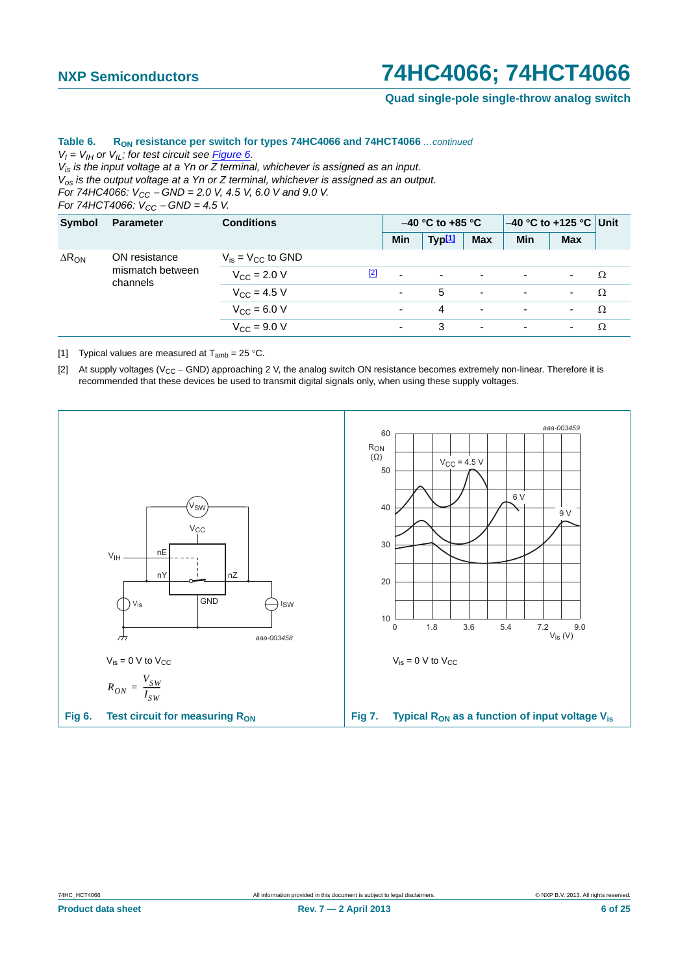**Quad single-pole single-throw analog switch**

### Table 6. R<sub>ON</sub> resistance per switch for types 74HC4066 and 74HCT4066 *...continued*

 $V_I = V_{II}$  or  $V_{II}$ ; for test circuit see Figure 6.

*Vis is the input voltage at a Yn or Z terminal, whichever is assigned as an input. Vos is the output voltage at a Yn or Z terminal, whichever is assigned as an output.*

*For 74HC4066:*  $V_{CC}$  – *GND* = 2.0 V, 4.5 V, 6.0 V and 9.0 V.

*For 74HCT4066:*  $V_{CC}$  – *GND* = 4.5 V.

| Symbol          | <b>Parameter</b>                              | <b>Conditions</b>        |     | $-40$ °C to +85 °C       |                    |                | $-40$ °C to +125 °C Unit |                |   |
|-----------------|-----------------------------------------------|--------------------------|-----|--------------------------|--------------------|----------------|--------------------------|----------------|---|
|                 |                                               |                          |     | Min                      | Typ <sup>[1]</sup> | <b>Max</b>     | Min                      | <b>Max</b>     |   |
| $\Delta R_{ON}$ | ON resistance<br>mismatch between<br>channels | $V_{is} = V_{CC}$ to GND |     |                          |                    |                |                          |                |   |
|                 |                                               | $V_{CC}$ = 2.0 V         | [2] | $\overline{\phantom{a}}$ | ۰                  | ٠              | $\overline{\phantom{0}}$ |                | Ω |
|                 |                                               | $V_{CC}$ = 4.5 V         |     | $\blacksquare$           | 5                  | ٠              | ٠                        | $\blacksquare$ | Ω |
|                 |                                               | $V_{CC} = 6.0 V$         |     | $\sim$                   | 4                  | $\blacksquare$ | ٠                        | ٠              | Ω |
|                 |                                               | $V_{C}$ = 9.0 V          |     | $\blacksquare$           | 3                  | $\blacksquare$ | ٠                        | ۰.             | Ω |

<span id="page-5-1"></span>[1] Typical values are measured at  $T_{amb} = 25 \degree C$ .

<span id="page-5-2"></span>[2] At supply voltages ( $V_{CC}$  – GND) approaching 2 V, the analog switch ON resistance becomes extremely non-linear. Therefore it is recommended that these devices be used to transmit digital signals only, when using these supply voltages.

<span id="page-5-0"></span>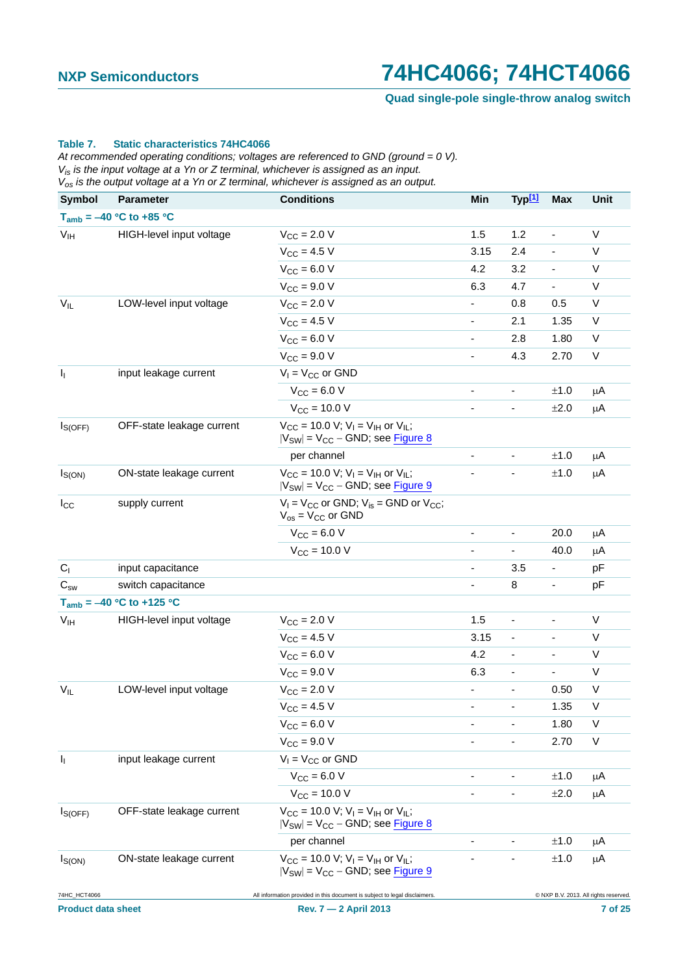**Quad single-pole single-throw analog switch**

#### **Table 7. Static characteristics 74HC4066**

*At recommended operating conditions; voltages are referenced to GND (ground = 0 V). Vis is the input voltage at a Yn or Z terminal, whichever is assigned as an input. Vos is the output voltage at a Yn or Z terminal, whichever is assigned as an output.*

| <b>Symbol</b>             | <b>Parameter</b>              | <b>Conditions</b>                                                                                                               | Min                          | Typ <sup>[1]</sup>           | <b>Max</b>                   | Unit                                  |
|---------------------------|-------------------------------|---------------------------------------------------------------------------------------------------------------------------------|------------------------------|------------------------------|------------------------------|---------------------------------------|
|                           | $T_{amb} = -40$ °C to +85 °C  |                                                                                                                                 |                              |                              |                              |                                       |
| V <sub>IH</sub>           | HIGH-level input voltage      | $V_{\text{CC}} = 2.0 V$                                                                                                         | 1.5                          | 1.2                          | $\qquad \qquad \blacksquare$ | V                                     |
|                           |                               | $V_{CC} = 4.5 V$                                                                                                                | 3.15                         | 2.4                          | $\overline{a}$               | V                                     |
|                           |                               | $V_{CC} = 6.0 V$                                                                                                                | 4.2                          | 3.2                          | $\overline{\phantom{a}}$     | V                                     |
|                           |                               | $V_{CC}$ = 9.0 V                                                                                                                | 6.3                          | 4.7                          | ÷,                           | $\sf V$                               |
| $V_{IL}$                  | LOW-level input voltage       | $V_{\text{CC}} = 2.0 V$                                                                                                         | $\blacksquare$               | 0.8                          | 0.5                          | V                                     |
|                           |                               | $V_{CC}$ = 4.5 V                                                                                                                | $\overline{\phantom{a}}$     | 2.1                          | 1.35                         | $\sf V$                               |
|                           |                               | $V_{CC} = 6.0 V$                                                                                                                | $\qquad \qquad \blacksquare$ | 2.8                          | 1.80                         | V                                     |
|                           |                               | $V_{CC} = 9.0 V$                                                                                                                | $\blacksquare$               | 4.3                          | 2.70                         | V                                     |
| $I_1$                     | input leakage current         | $V_1 = V_{CC}$ or GND                                                                                                           |                              |                              |                              |                                       |
|                           |                               | $V_{CC}$ = 6.0 V                                                                                                                |                              | $\qquad \qquad \blacksquare$ | ±1.0                         | $\mu$ A                               |
|                           |                               | $V_{CC}$ = 10.0 V                                                                                                               | $\qquad \qquad \blacksquare$ | $\blacksquare$               | ±2.0                         | $\mu$ A                               |
| $I_{S(OFF)}$              | OFF-state leakage current     | $V_{CC}$ = 10.0 V; V <sub>I</sub> = V <sub>IH</sub> or V <sub>IL</sub> ;<br>$ V_{SW}  = V_{CC} - GND$ ; see <b>Figure 8</b>     |                              |                              |                              |                                       |
|                           |                               | per channel                                                                                                                     | $\qquad \qquad \blacksquare$ |                              | ±1.0                         | μA                                    |
| $I_{S(ON)}$               | ON-state leakage current      | $V_{CC}$ = 10.0 V; V <sub>I</sub> = V <sub>IH</sub> or V <sub>IL</sub> ;<br>$ V_{SW}  = V_{CC} - GND$ ; see Figure 9            |                              |                              | ±1.0                         | $\mu$ A                               |
| $I_{\rm CC}$              | supply current                | $V_1 = V_{CC}$ or GND; $V_{is} =$ GND or $V_{CC}$ ;<br>$V_{OS} = V_{CC}$ or GND                                                 |                              |                              |                              |                                       |
|                           |                               | $V_{CC} = 6.0 V$                                                                                                                | $\overline{\phantom{0}}$     | $\qquad \qquad \blacksquare$ | 20.0                         | $\mu$ A                               |
|                           |                               | $V_{CC}$ = 10.0 V                                                                                                               |                              | ÷,                           | 40.0                         | $\mu$ A                               |
| $C_{1}$                   | input capacitance             |                                                                                                                                 | $\blacksquare$               | 3.5                          | $\qquad \qquad \blacksquare$ | pF                                    |
| $C_{sw}$                  | switch capacitance            |                                                                                                                                 | $\blacksquare$               | 8                            | $\blacksquare$               | pF                                    |
|                           | $T_{amb} = -40 °C$ to +125 °C |                                                                                                                                 |                              |                              |                              |                                       |
| V <sub>IH</sub>           | HIGH-level input voltage      | $V_{CC}$ = 2.0 V                                                                                                                | 1.5                          | $\overline{\phantom{a}}$     | $\overline{a}$               | V                                     |
|                           |                               | $V_{CC}$ = 4.5 V                                                                                                                | 3.15                         | $\overline{\phantom{a}}$     | $\overline{\phantom{a}}$     | V                                     |
|                           |                               | $V_{CC} = 6.0 V$                                                                                                                | 4.2                          | ÷,                           | $\frac{1}{2}$                | V                                     |
|                           |                               | $V_{\text{CC}} = 9.0 V$                                                                                                         | 6.3                          | $\qquad \qquad \blacksquare$ | $\overline{\phantom{a}}$     | V                                     |
| $V_{IL}$                  | LOW-level input voltage       | $V_{CC}$ = 2.0 V                                                                                                                | $\overline{\phantom{0}}$     | $\overline{a}$               | 0.50                         | $\sf V$                               |
|                           |                               | $V_{CC} = 4.5 V$                                                                                                                |                              |                              | 1.35                         | V                                     |
|                           |                               | $V_{CC} = 6.0 V$                                                                                                                |                              |                              | 1.80                         | V                                     |
|                           |                               | $V_{CC}$ = 9.0 V                                                                                                                |                              |                              | 2.70                         | V                                     |
| I <sub>I</sub>            | input leakage current         | $V_1 = V_{CC}$ or GND                                                                                                           |                              |                              |                              |                                       |
|                           |                               | $V_{CC}$ = 6.0 V                                                                                                                |                              |                              | ±1.0                         | μA                                    |
|                           |                               | $V_{CC}$ = 10.0 V                                                                                                               |                              |                              | ±2.0                         | μA                                    |
| $I_{S(OFF)}$              | OFF-state leakage current     | $V_{\text{CC}} = 10.0 \text{ V}; V_{\text{I}} = V_{\text{IH}}$ or $V_{\text{IL}}$ ;<br>$ V_{SW}  = V_{CC} - GND$ ; see Figure 8 |                              |                              |                              |                                       |
|                           |                               | per channel                                                                                                                     |                              |                              | ±1.0                         | μA                                    |
| $I_{S(ON)}$               | ON-state leakage current      | $V_{CC}$ = 10.0 V; V <sub>I</sub> = V <sub>IH</sub> or V <sub>IL</sub> ;<br>$ V_{SW}  = V_{CC} - GND$ ; see Figure 9            |                              |                              | ±1.0                         | μA                                    |
| 74HC_HCT4066              |                               | All information provided in this document is subject to legal disclaimers.                                                      |                              |                              |                              | C NXP B.V. 2013. All rights reserved. |
| <b>Product data sheet</b> |                               | Rev. 7 - 2 April 2013                                                                                                           |                              |                              |                              | 7 of 25                               |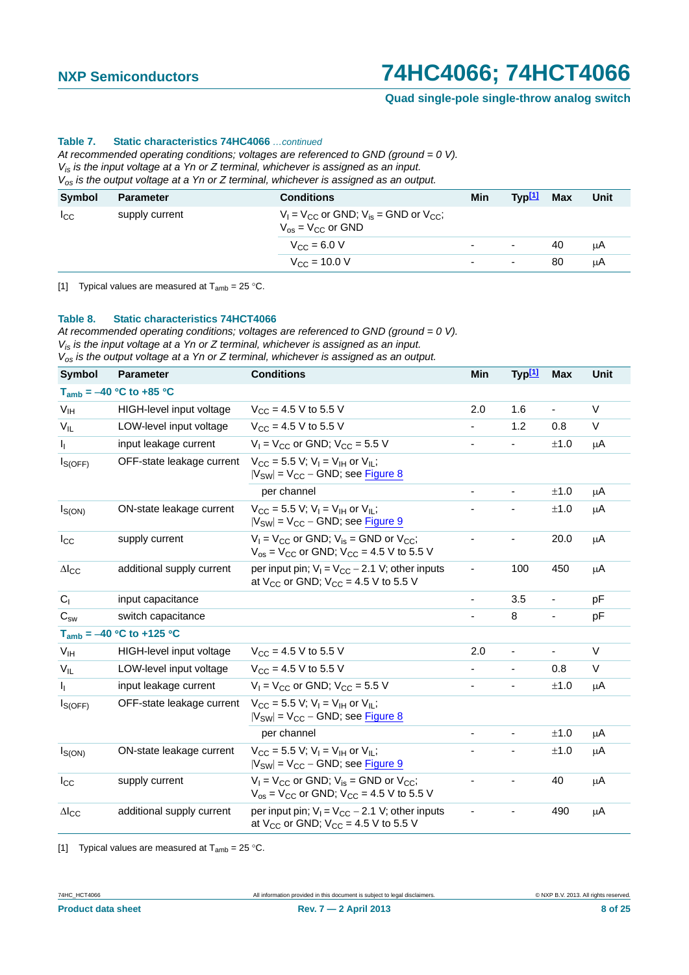**Quad single-pole single-throw analog switch**

#### **Table 7. Static characteristics 74HC4066** *…continued*

*At recommended operating conditions; voltages are referenced to GND (ground = 0 V). Vis is the input voltage at a Yn or Z terminal, whichever is assigned as an input. Vos is the output voltage at a Yn or Z terminal, whichever is assigned as an output.*

| <b>Symbol</b> | <b>Parameter</b> | <b>Conditions</b>                                                                 | Min                      | Typ <sup>[1]</sup>       | Max | Unit |
|---------------|------------------|-----------------------------------------------------------------------------------|--------------------------|--------------------------|-----|------|
| $I_{\rm CC}$  | supply current   | $V_1 = V_{CC}$ or GND; $V_{is}$ = GND or $V_{CC}$ ;<br>$V_{OS}$ = $V_{CC}$ or GND |                          |                          |     |      |
|               |                  | $V_{\rm CC} = 6.0 V$                                                              | $\overline{\phantom{0}}$ | $\overline{\phantom{a}}$ | 40  | μA   |
|               |                  | $V_{\text{CC}} = 10.0 \text{ V}$                                                  | $\overline{\phantom{0}}$ | ٠                        | 80  | μA   |

[1] Typical values are measured at  $T_{amb} = 25 \degree C$ .

#### **Table 8. Static characteristics 74HCT4066**

*At recommended operating conditions; voltages are referenced to GND (ground = 0 V). Vis is the input voltage at a Yn or Z terminal, whichever is assigned as an input. Vos is the output voltage at a Yn or Z terminal, whichever is assigned as an output.*

| <b>Symbol</b>            | <b>Parameter</b>              | <b>Conditions</b>                                                                                                           | Min                      | Typ <sup>[1]</sup>       | <b>Max</b>               | <b>Unit</b> |
|--------------------------|-------------------------------|-----------------------------------------------------------------------------------------------------------------------------|--------------------------|--------------------------|--------------------------|-------------|
|                          | $T_{amb} = -40$ °C to +85 °C  |                                                                                                                             |                          |                          |                          |             |
| V <sub>IH</sub>          | HIGH-level input voltage      | $V_{CC}$ = 4.5 V to 5.5 V                                                                                                   | 2.0                      | 1.6                      | $\blacksquare$           | V           |
| $V_{IL}$                 | LOW-level input voltage       | $V_{CC}$ = 4.5 V to 5.5 V                                                                                                   |                          | 1.2                      | 0.8                      | V           |
| I <sub>I</sub>           | input leakage current         | $V_1$ = $V_{CC}$ or GND; $V_{CC}$ = 5.5 V                                                                                   |                          |                          | ±1.0                     | μA          |
| $I_{S(OFF)}$             | OFF-state leakage current     | $V_{\text{CC}} = 5.5$ V; V <sub>I</sub> = V <sub>IH</sub> or V <sub>IL</sub> ;<br>$ V_{SW} $ = $V_{CC}$ – GND; see Figure 8 |                          |                          |                          |             |
|                          |                               | per channel                                                                                                                 |                          | $\blacksquare$           | ±1.0                     | μA          |
| $I_{S(ON)}$              | ON-state leakage current      | $V_{CC}$ = 5.5 V; V <sub>I</sub> = V <sub>IH</sub> or V <sub>IL</sub> ;<br>$ V_{SW}  = V_{CC} - GND$ ; see Figure 9         |                          | $\overline{\phantom{a}}$ | $\pm 1.0$                | μA          |
| $I_{\rm CC}$             | supply current                | $V_1 = V_{CC}$ or GND; $V_{is}$ = GND or $V_{CC}$ ;<br>$V_{OS}$ = $V_{CC}$ or GND; $V_{CC}$ = 4.5 V to 5.5 V                |                          | ۰                        | 20.0                     | μA          |
| $\Delta$ <sub>cc</sub>   | additional supply current     | per input pin; $V_1 = V_{CC} - 2.1$ V; other inputs<br>at $V_{CC}$ or GND; $V_{CC}$ = 4.5 V to 5.5 V                        |                          | 100                      | 450                      | μA          |
| C <sub>1</sub>           | input capacitance             |                                                                                                                             | $\overline{\phantom{0}}$ | 3.5                      | -                        | рF          |
| $\mathrm{C}_{\text{sw}}$ | switch capacitance            |                                                                                                                             |                          | 8                        | ÷                        | рF          |
|                          | $T_{amb} = -40 °C$ to +125 °C |                                                                                                                             |                          |                          |                          |             |
| V <sub>IH</sub>          | HIGH-level input voltage      | $V_{CC}$ = 4.5 V to 5.5 V                                                                                                   | 2.0                      | $\overline{\phantom{a}}$ | $\overline{\phantom{0}}$ | V           |
| $V_{IL}$                 | LOW-level input voltage       | $V_{CC}$ = 4.5 V to 5.5 V                                                                                                   |                          | $\overline{\phantom{0}}$ | 0.8                      | V           |
| $I_{\rm L}$              | input leakage current         | $V_1$ = $V_{CC}$ or GND; $V_{CC}$ = 5.5 V                                                                                   |                          |                          | ±1.0                     | μA          |
| $I_{S(OFF)}$             | OFF-state leakage current     | $V_{\text{CC}} = 5.5$ V; $V_{\text{I}} = V_{\text{IH}}$ or $V_{\text{II}}$ ;<br>$ V_{SW} $ = $V_{CC}$ – GND; see Figure 8   |                          |                          |                          |             |
|                          |                               | per channel                                                                                                                 |                          | $\blacksquare$           | ±1.0                     | μA          |
| $I_{S(ON)}$              | ON-state leakage current      | $V_{\text{CC}} = 5.5$ V; V <sub>I</sub> = V <sub>IH</sub> or V <sub>IL</sub> ;<br>$ V_{SW}  = V_{CC} - GND$ ; see Figure 9  |                          | -                        | ±1.0                     | μA          |
| $I_{\rm CC}$             | supply current                | $V_1 = V_{CC}$ or GND; $V_{is}$ = GND or $V_{CC}$ ;<br>$V_{OS}$ = $V_{CC}$ or GND; $V_{CC}$ = 4.5 V to 5.5 V                |                          | $\overline{\phantom{a}}$ | 40                       | μA          |
| $\Delta I_{\rm CC}$      | additional supply current     | per input pin; $V_1 = V_{CC} - 2.1$ V; other inputs<br>at $V_{CC}$ or GND; $V_{CC}$ = 4.5 V to 5.5 V                        |                          |                          | 490                      | μA          |

[1] Typical values are measured at  $T_{amb} = 25 \degree C$ .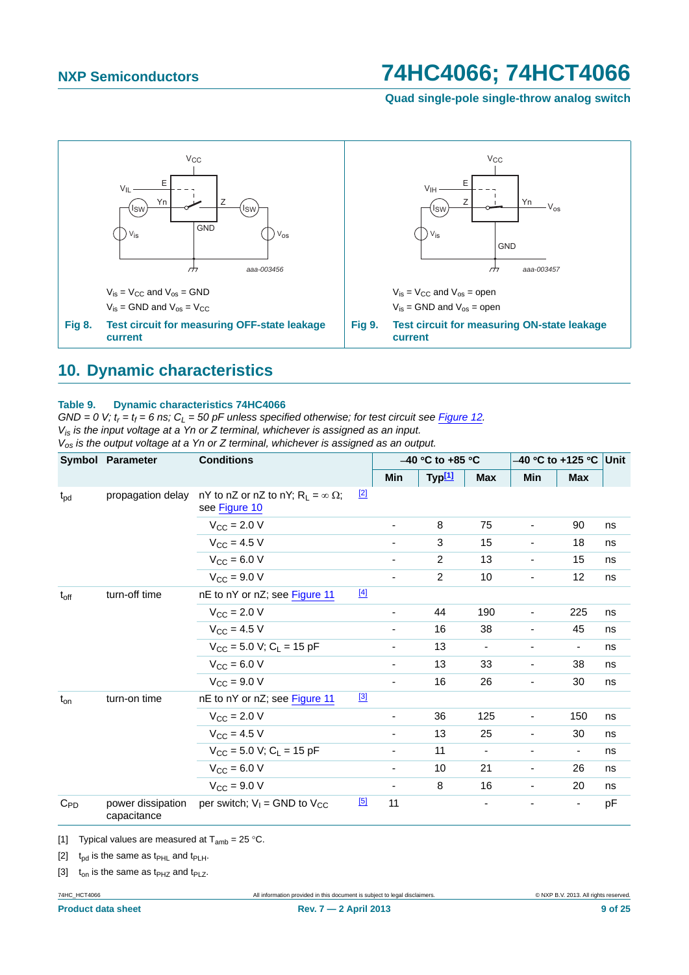<span id="page-8-1"></span>**Quad single-pole single-throw analog switch**



### <span id="page-8-5"></span><span id="page-8-0"></span>**10. Dynamic characteristics**

#### **Table 9. Dynamic characteristics 74HC4066**

 $GND = 0$  V;  $t_r = t_f = 6$  ns;  $C_L = 50$  pF unless specified otherwise; for test circuit see *[Figure 12](#page-11-0).* 

*Vis is the input voltage at a Yn or Z terminal, whichever is assigned as an input.*

*Vos is the output voltage at a Yn or Z terminal, whichever is assigned as an output.*

|                 | Symbol Parameter                 | <b>Conditions</b>                                              |             |                          | $-40$ °C to $+85$ °C |                          |                          | $-40$ °C to +125 °C Unit<br>Min<br><b>Max</b> |    |
|-----------------|----------------------------------|----------------------------------------------------------------|-------------|--------------------------|----------------------|--------------------------|--------------------------|-----------------------------------------------|----|
|                 |                                  |                                                                |             | Min                      | Typ <sup>[1]</sup>   | <b>Max</b>               |                          |                                               |    |
| t <sub>pd</sub> | propagation delay                | nY to nZ or nZ to nY; $R_L = \infty \Omega$ ;<br>see Figure 10 | $\boxed{2}$ |                          |                      |                          |                          |                                               |    |
|                 |                                  | $V_{\text{CC}} = 2.0 V$                                        |             |                          | 8                    | 75                       |                          | 90                                            | ns |
|                 |                                  | $V_{CC} = 4.5 V$                                               |             |                          | 3                    | 15                       | -                        | 18                                            | ns |
|                 |                                  | $V_{CC} = 6.0 V$                                               |             |                          | 2                    | 13                       | $\overline{\phantom{a}}$ | 15                                            | ns |
|                 |                                  | $V_{CC}$ = 9.0 V                                               |             | ۰.                       | $\overline{2}$       | 10                       | Ξ.                       | 12                                            | ns |
| $t_{off}$       | turn-off time                    | nE to nY or nZ; see Figure 11                                  | $[4]$       |                          |                      |                          |                          |                                               |    |
|                 |                                  | $V_{\text{CC}} = 2.0 V$                                        |             |                          | 44                   | 190                      | -                        | 225                                           | ns |
|                 |                                  | $V_{CC}$ = 4.5 V                                               |             |                          | 16                   | 38                       |                          | 45                                            | ns |
|                 |                                  | $V_{CC}$ = 5.0 V; C <sub>1</sub> = 15 pF                       |             | $\overline{\phantom{a}}$ | 13                   | $\overline{\phantom{a}}$ | $\overline{\phantom{a}}$ | $\overline{\phantom{a}}$                      | ns |
|                 |                                  | $V_{CC} = 6.0 V$                                               |             |                          | 13                   | 33                       | $\blacksquare$           | 38                                            | ns |
|                 |                                  | $V_{CC}$ = 9.0 V                                               |             | $\overline{\phantom{a}}$ | 16                   | 26                       | -                        | 30                                            | ns |
| $t_{on}$        | turn-on time                     | nE to nY or nZ; see Figure 11                                  | [3]         |                          |                      |                          |                          |                                               |    |
|                 |                                  | $V_{\rm CC} = 2.0 V$                                           |             | $\overline{\phantom{0}}$ | 36                   | 125                      | $\overline{\phantom{a}}$ | 150                                           | ns |
|                 |                                  | $V_{CC}$ = 4.5 V                                               |             | $\blacksquare$           | 13                   | 25                       | $\overline{\phantom{a}}$ | 30                                            | ns |
|                 |                                  | $V_{CC}$ = 5.0 V; C <sub>L</sub> = 15 pF                       |             |                          | 11                   |                          | -                        | $\overline{\phantom{0}}$                      | ns |
|                 |                                  | $V_{CC} = 6.0 V$                                               |             | $\overline{\phantom{0}}$ | 10                   | 21                       | $\blacksquare$           | 26                                            | ns |
|                 |                                  | $V_{\rm CC} = 9.0 V$                                           |             | $\overline{\phantom{0}}$ | 8                    | 16                       |                          | 20                                            | ns |
| $C_{PD}$        | power dissipation<br>capacitance | per switch; $V_1$ = GND to $V_{CC}$                            | $[5]$       | 11                       |                      |                          |                          | $\overline{\phantom{0}}$                      | pF |

<span id="page-8-2"></span>[1] Typical values are measured at  $T_{amb} = 25 \degree C$ .

<span id="page-8-3"></span>[2]  $t_{\text{od}}$  is the same as  $t_{\text{PHL}}$  and  $t_{\text{PLH}}$ .

<span id="page-8-4"></span>[3]  $t_{on}$  is the same as  $t_{PHZ}$  and  $t_{PLZ}$ .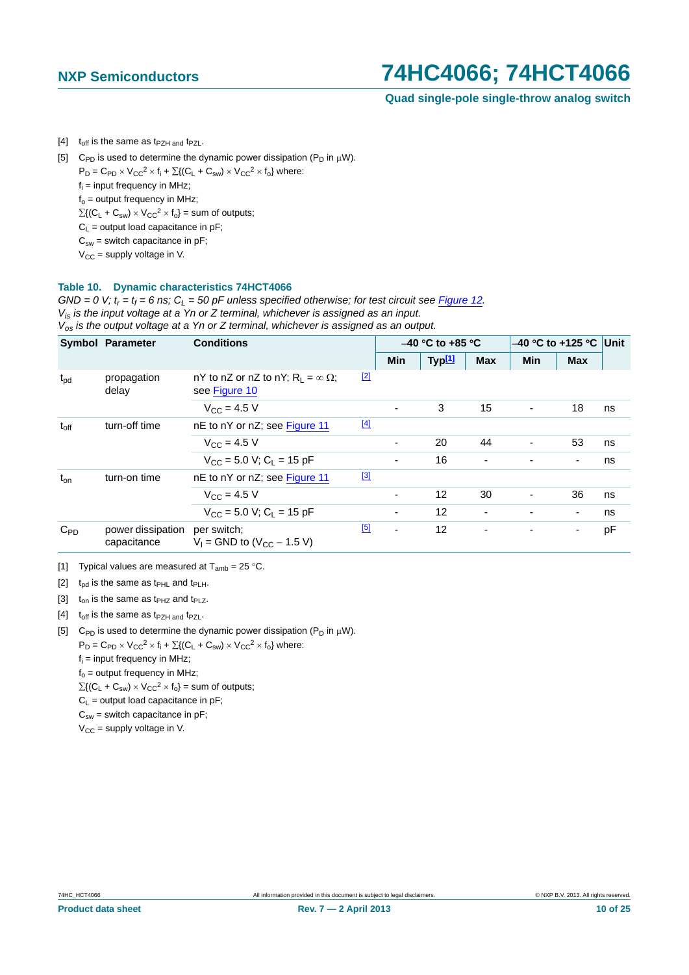**Quad single-pole single-throw analog switch**

<span id="page-9-0"></span>[4]  $t_{off}$  is the same as  $t_{PZH}$  and  $t_{PZL}$ .

<span id="page-9-1"></span>[5] C<sub>PD</sub> is used to determine the dynamic power dissipation (P<sub>D</sub> in  $\mu$ W).

 $P_D = C_{PD} \times V_{CC}^2 \times f_i + \sum \{ (C_L + C_{sw}) \times V_{CC}^2 \times f_0 \}$  where:

 $f_i$  = input frequency in MHz;

 $f_0$  = output frequency in MHz;

 $\Sigma\{(\mathsf{C}_{\mathsf{L}} + \mathsf{C}_{\mathsf{sw}}) \times \mathsf{V}_{\mathsf{CC}}^2 \times \mathsf{f}_{\mathsf{O}}\}$  = sum of outputs;

 $C_L$  = output load capacitance in pF;

 $C_{sw}$  = switch capacitance in pF;

 $V_{CC}$  = supply voltage in V.

#### **Table 10. Dynamic characteristics 74HCT4066**

 $GND = 0$  V;  $t_r = t_f = 6$  ns;  $C_l = 50$  pF unless specified otherwise; for test circuit see [Figure 12](#page-11-0). *Vis is the input voltage at a Yn or Z terminal, whichever is assigned as an input.*

*Vos is the output voltage at a Yn or Z terminal, whichever is assigned as an output.*

|                  | <b>Symbol Parameter</b>          | <b>Conditions</b>                                              |             | $-40$ °C to +85 °C       |                    |            | -40 °C to +125 °C        |                          | Unit |
|------------------|----------------------------------|----------------------------------------------------------------|-------------|--------------------------|--------------------|------------|--------------------------|--------------------------|------|
|                  |                                  |                                                                |             | <b>Min</b>               | Typ <sup>[1]</sup> | <b>Max</b> | <b>Min</b>               | <b>Max</b>               |      |
| $t_{\rm pd}$     | propagation<br>delay             | nY to nZ or nZ to nY; $R_1 = \infty \Omega$ ;<br>see Figure 10 | $[2]$       |                          |                    |            |                          |                          |      |
|                  |                                  | $V_{CC} = 4.5 V$                                               |             | $\overline{\phantom{a}}$ | 3                  | 15         | $\overline{\phantom{a}}$ | 18                       | ns   |
| $t_{\text{off}}$ | turn-off time                    | nE to nY or nZ; see Figure 11                                  | $[4]$       |                          |                    |            |                          |                          |      |
|                  |                                  | $V_{\rm CC} = 4.5 V$                                           |             | $\overline{\phantom{a}}$ | 20                 | 44         | $\overline{\phantom{a}}$ | 53                       | ns   |
|                  |                                  | $V_{CC}$ = 5.0 V; C <sub>1</sub> = 15 pF                       |             | $\overline{\phantom{a}}$ | 16                 |            |                          | $\overline{\phantom{a}}$ | ns   |
| $t_{on}$         | turn-on time                     | nE to nY or nZ; see Figure 11                                  | $\boxed{3}$ |                          |                    |            |                          |                          |      |
|                  |                                  | $V_{CC} = 4.5 V$                                               |             | $\overline{\phantom{a}}$ | 12                 | 30         | $\blacksquare$           | 36                       | ns   |
|                  |                                  | $V_{CC}$ = 5.0 V; C <sub>1</sub> = 15 pF                       |             | $\overline{\phantom{a}}$ | 12                 |            |                          | $\blacksquare$           | ns   |
| $C_{PD}$         | power dissipation<br>capacitance | per switch;<br>$V_1$ = GND to (V <sub>CC</sub> – 1.5 V)        | [5]         | $\overline{\phantom{m}}$ | 12                 |            |                          | $\blacksquare$           | pF   |

<span id="page-9-2"></span>[1] Typical values are measured at  $T_{amb} = 25 \degree C$ .

<span id="page-9-3"></span>[2]  $t_{pd}$  is the same as  $t_{PHL}$  and  $t_{PLH}$ .

[3]  $t_{on}$  is the same as t<sub>PHZ</sub> and t<sub>PLZ</sub>.

[4]  $t_{off}$  is the same as  $t_{PZH}$  and  $t_{PZL}$ .

- <span id="page-9-4"></span>[5] C<sub>PD</sub> is used to determine the dynamic power dissipation ( $P_D$  in  $\mu$ W).  $P_D = C_{PD} \times V_{CC}^2 \times f_i + \sum \{ (C_L + C_{sw}) \times V_{CC}^2 \times f_0 \}$  where: fi = input frequency in MHz;  $f_0$  = output frequency in MHz;  $\Sigma\{(\mathsf{C}_\mathsf{L} + \mathsf{C}_{\mathsf{sw}}) \times \mathsf{V}_{\mathsf{CC}}^2 \times \mathsf{f}_{\mathsf{o}}\} = \mathsf{sum}$  of outputs;
	- $C_L$  = output load capacitance in pF;  $C_{sw}$  = switch capacitance in pF;

 $V_{CC}$  = supply voltage in V.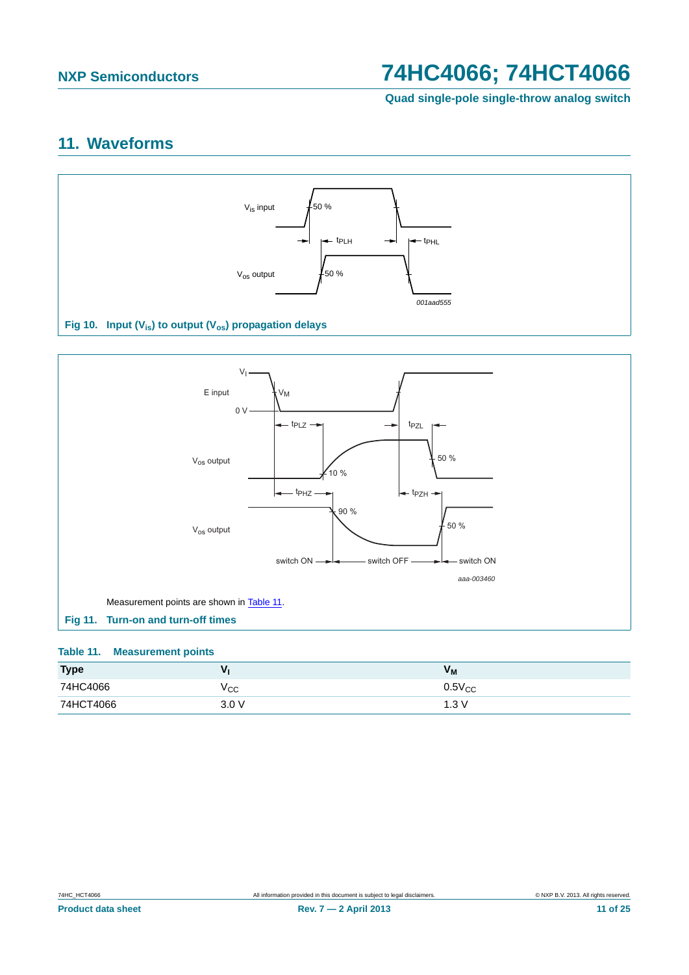**Quad single-pole single-throw analog switch**

## <span id="page-10-3"></span>**11. Waveforms**



<span id="page-10-0"></span>

### <span id="page-10-2"></span><span id="page-10-1"></span>**Table 11. Measurement points**

| <b>Type</b> |       | <b>VM</b>   |
|-------------|-------|-------------|
| 74HC4066    | ⊻сс   | $0.5V_{CC}$ |
| 74HCT4066   | 3.0 V | ⊦.3 V       |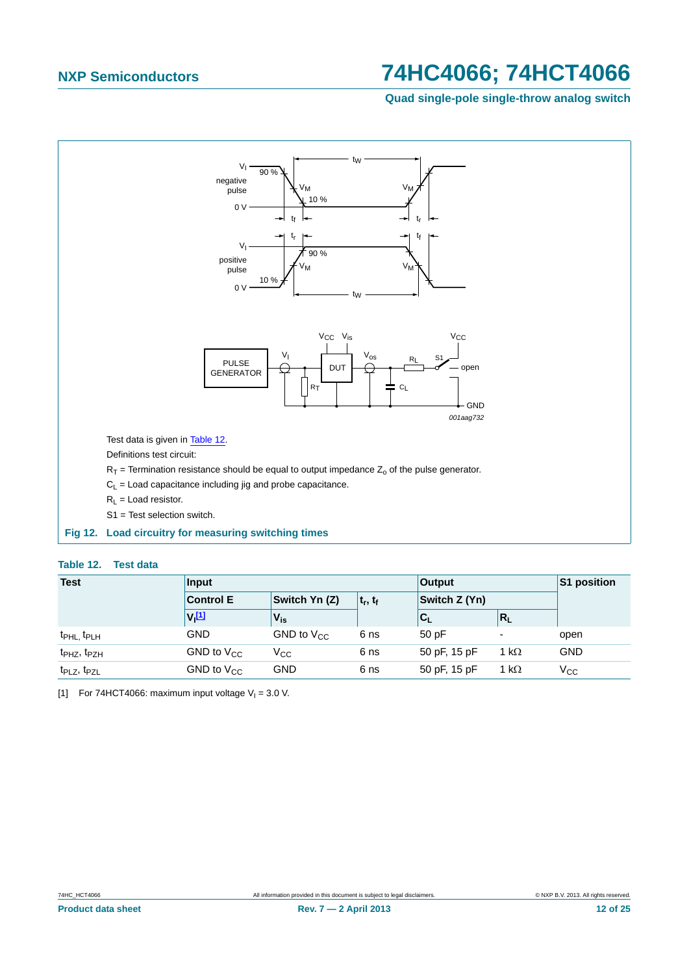**Quad single-pole single-throw analog switch**



#### <span id="page-11-1"></span><span id="page-11-0"></span>**Table 12. Test data**

| <b>Test</b>                         | Input                |                 |              | <b>Output</b>             |              | S1 position  |
|-------------------------------------|----------------------|-----------------|--------------|---------------------------|--------------|--------------|
|                                     | <b>Control E</b>     | Switch Yn (Z)   | $ t_r, t_f $ | Switch $Z(Yn)$            |              |              |
|                                     | $V_1$ <sup>[1]</sup> | $V_{is}$        |              | $\mathbf{c}_{\mathsf{L}}$ | $R_{L}$      |              |
| t <sub>PHL</sub> , t <sub>PLH</sub> | <b>GND</b>           | GND to $V_{CC}$ | 6 ns         | 50pF                      | ٠            | open         |
| t <sub>PHZ</sub> , t <sub>PZH</sub> | GND to $V_{CC}$      | $\rm v_{cc}$    | 6 ns         | 50 pF, 15 pF              | 1 k $\Omega$ | <b>GND</b>   |
| t <sub>PLZ</sub> , t <sub>PZL</sub> | GND to $V_{CC}$      | GND             | 6 ns         | 50 pF, 15 pF              | 1 k $\Omega$ | $V_{\rm CC}$ |

<span id="page-11-2"></span>[1] For 74HCT4066: maximum input voltage  $V_1 = 3.0$  V.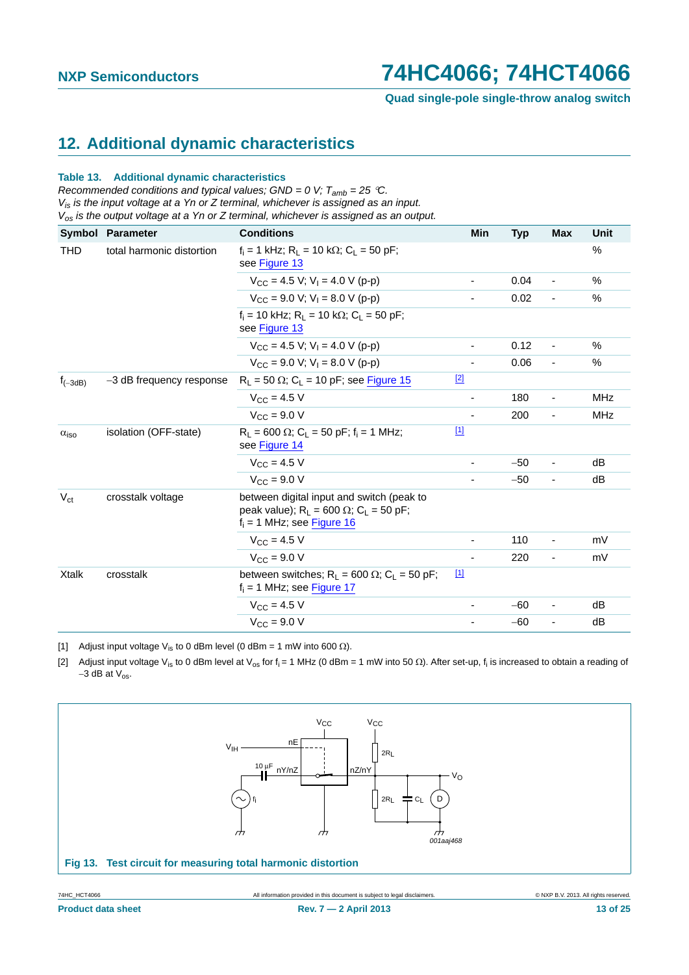## <span id="page-12-3"></span>**12. Additional dynamic characteristics**

#### **Table 13. Additional dynamic characteristics**

*Recommended conditions and typical values; GND = 0 V; Tamb = 25 C. Vis is the input voltage at a Yn or Z terminal, whichever is assigned as an input. Vos is the output voltage at a Yn or Z terminal, whichever is assigned as an output.*

|                                   | <b>Symbol Parameter</b>  | <b>Conditions</b>                                                                                                       | <b>Min</b>               | <b>Typ</b> | <b>Max</b>                   | <b>Unit</b>   |
|-----------------------------------|--------------------------|-------------------------------------------------------------------------------------------------------------------------|--------------------------|------------|------------------------------|---------------|
| THD<br>total harmonic distortion  |                          | $f_i = 1$ kHz; $R_1 = 10$ k $\Omega$ ; $C_1 = 50$ pF;<br>see Figure 13                                                  |                          |            |                              | $\%$          |
|                                   |                          | $V_{CC}$ = 4.5 V; V <sub>1</sub> = 4.0 V (p-p)                                                                          | $\overline{\phantom{0}}$ | 0.04       | $\overline{\phantom{a}}$     | $\frac{0}{0}$ |
|                                   |                          | $V_{CC}$ = 9.0 V; V <sub>1</sub> = 8.0 V (p-p)                                                                          |                          | 0.02       | $\overline{\phantom{a}}$     | $\frac{0}{0}$ |
|                                   |                          | f <sub>i</sub> = 10 kHz: R <sub>i</sub> = 10 kΩ: C <sub>i</sub> = 50 pF:<br>see Figure 13                               |                          |            |                              |               |
|                                   |                          | $V_{CC}$ = 4.5 V; V <sub>1</sub> = 4.0 V (p-p)                                                                          | -                        | 0.12       | $\qquad \qquad \blacksquare$ | %             |
|                                   |                          | $V_{CC}$ = 9.0 V; V <sub>1</sub> = 8.0 V (p-p)                                                                          |                          | 0.06       |                              | $\frac{0}{0}$ |
| $f_{(-3dB)}$                      | -3 dB frequency response | $R_1 = 50 \Omega$ ; C <sub>L</sub> = 10 pF; see Figure 15                                                               | $[2]$                    |            |                              |               |
|                                   |                          | $V_{CC} = 4.5 V$                                                                                                        | -                        | 180        | ٠                            | MHz           |
|                                   |                          | $V_{\text{CC}} = 9.0 V$                                                                                                 |                          | 200        | ٠                            | <b>MHz</b>    |
| $\alpha_{\text{iso}}$             | isolation (OFF-state)    | $R_1 = 600 \Omega$ ; C <sub>1</sub> = 50 pF; f <sub>i</sub> = 1 MHz;<br>see Figure 14                                   | $\boxed{11}$             |            |                              |               |
|                                   |                          | $V_{CC} = 4.5 V$                                                                                                        |                          | $-50$      |                              | dB            |
|                                   |                          | $V_{CC}$ = 9.0 V                                                                                                        |                          | $-50$      | ٠                            | dB            |
| $V_{\rm ct}$<br>crosstalk voltage |                          | between digital input and switch (peak to<br>peak value); $R_L$ = 600 Ω; $C_L$ = 50 pF;<br>$f_i = 1$ MHz; see Figure 16 |                          |            |                              |               |
|                                   |                          | $V_{\rm CC} = 4.5 V$                                                                                                    |                          | 110        | ٠                            | mV            |
|                                   |                          | $V_{CC}$ = 9.0 V                                                                                                        |                          | 220        | ٠                            | mV            |
| <b>Xtalk</b>                      | crosstalk                | between switches; $R_1 = 600 \Omega$ ; $C_1 = 50 pF$ ;<br>$f_i = 1$ MHz; see Figure 17                                  | $\boxed{1}$              |            |                              |               |
|                                   |                          | $V_{\text{CC}} = 4.5 \text{ V}$                                                                                         |                          | $-60$      | ٠                            | dB            |
|                                   |                          | $V_{CC}$ = 9.0 V                                                                                                        |                          | $-60$      | ٠                            | dB            |

<span id="page-12-2"></span>[1] Adjust input voltage V<sub>is</sub> to 0 dBm level (0 dBm = 1 mW into 600  $\Omega$ ).

<span id="page-12-1"></span>[2] Adjust input voltage V<sub>is</sub> to 0 dBm level at V<sub>os</sub> for f<sub>i</sub> = 1 MHz (0 dBm = 1 mW into 50  $\Omega$ ). After set-up, f<sub>i</sub> is increased to obtain a reading of  $-3$  dB at  $V_{\text{os}}$ .

<span id="page-12-0"></span>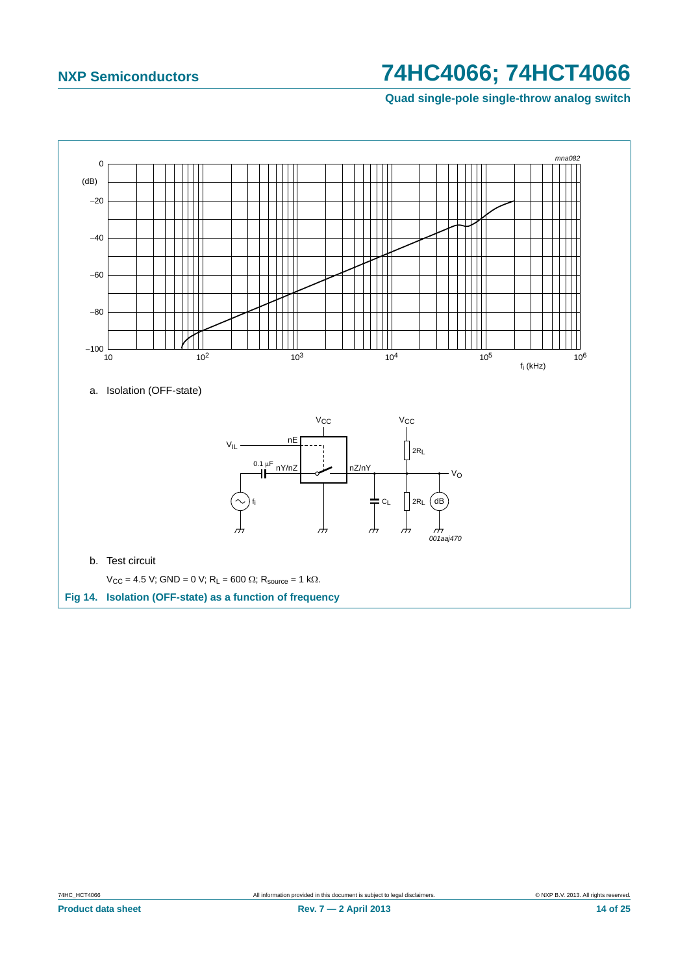**Quad single-pole single-throw analog switch**

<span id="page-13-0"></span>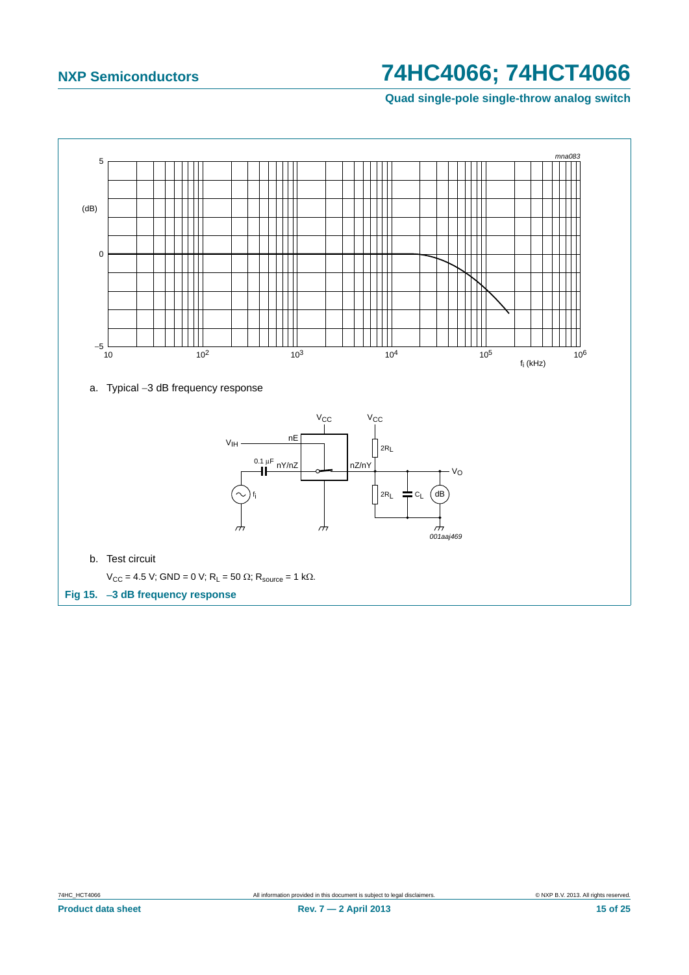**Quad single-pole single-throw analog switch**

<span id="page-14-0"></span>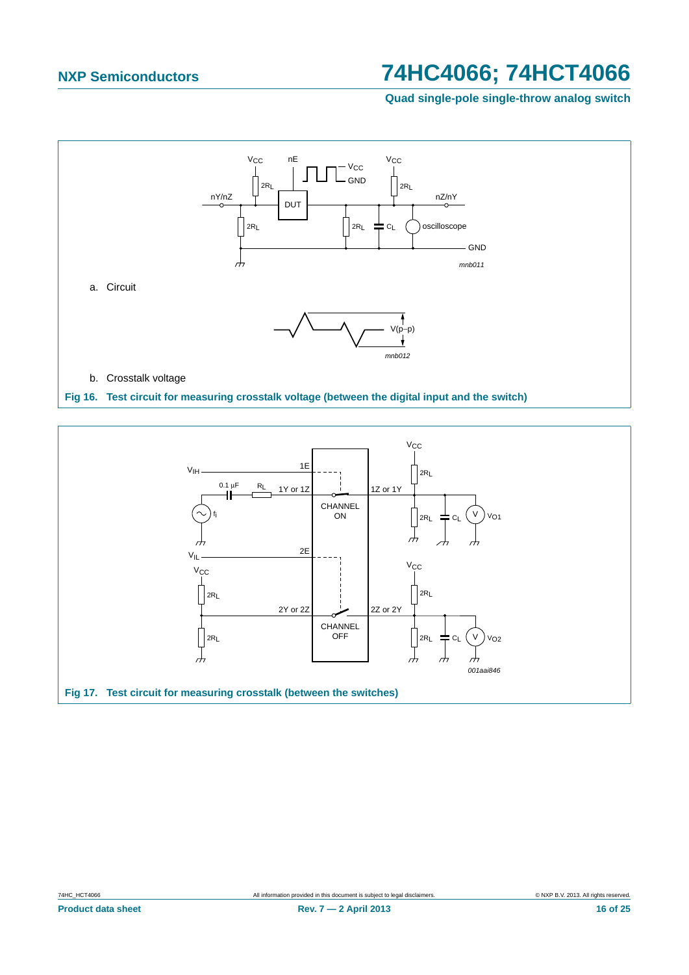**Quad single-pole single-throw analog switch**



<span id="page-15-1"></span><span id="page-15-0"></span>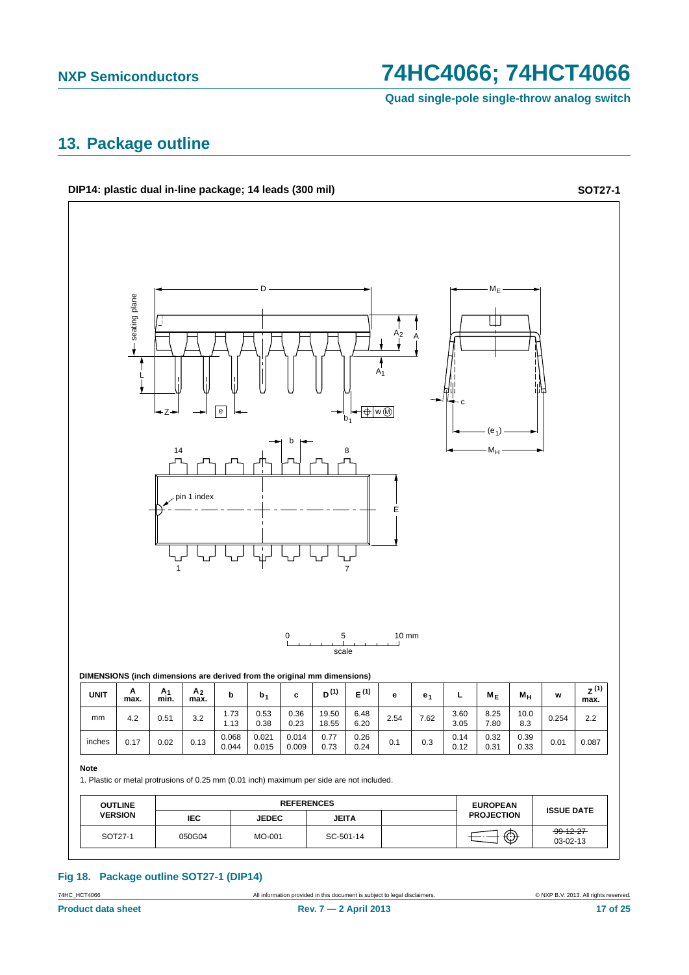**Quad single-pole single-throw analog switch**

### <span id="page-16-0"></span>**13. Package outline**

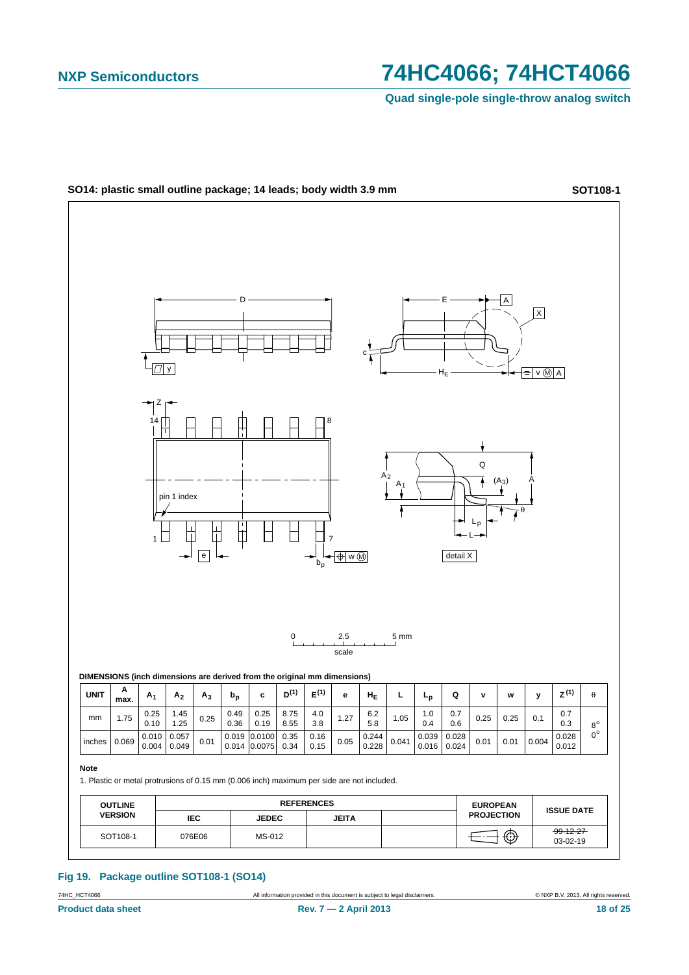**Quad single-pole single-throw analog switch**



**Fig 19. Package outline SOT108-1 (SO14)**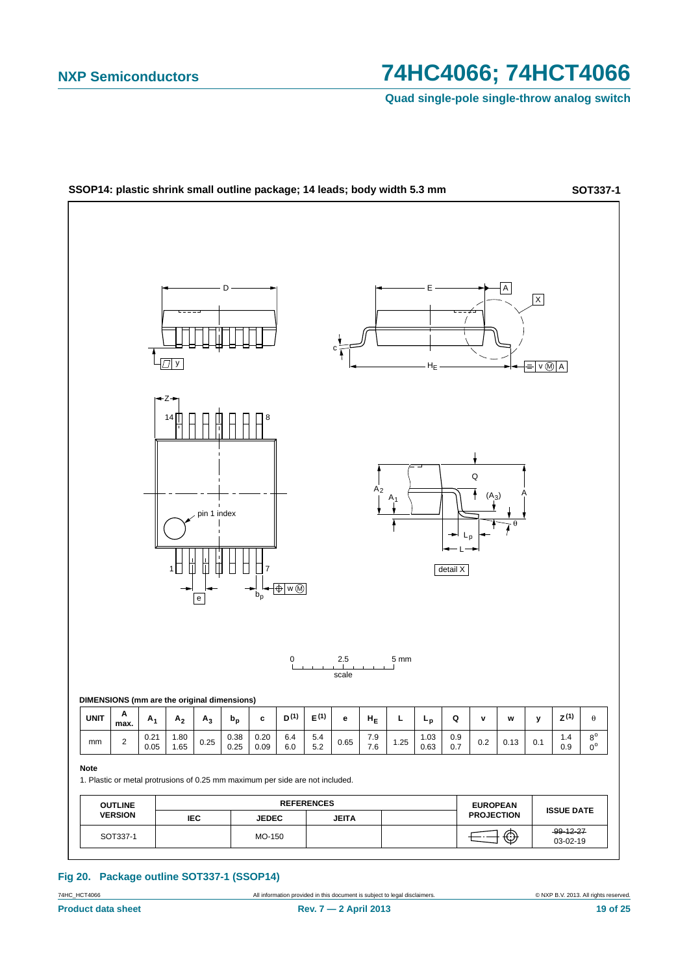**Quad single-pole single-throw analog switch**



**Fig 20. Package outline SOT337-1 (SSOP14)**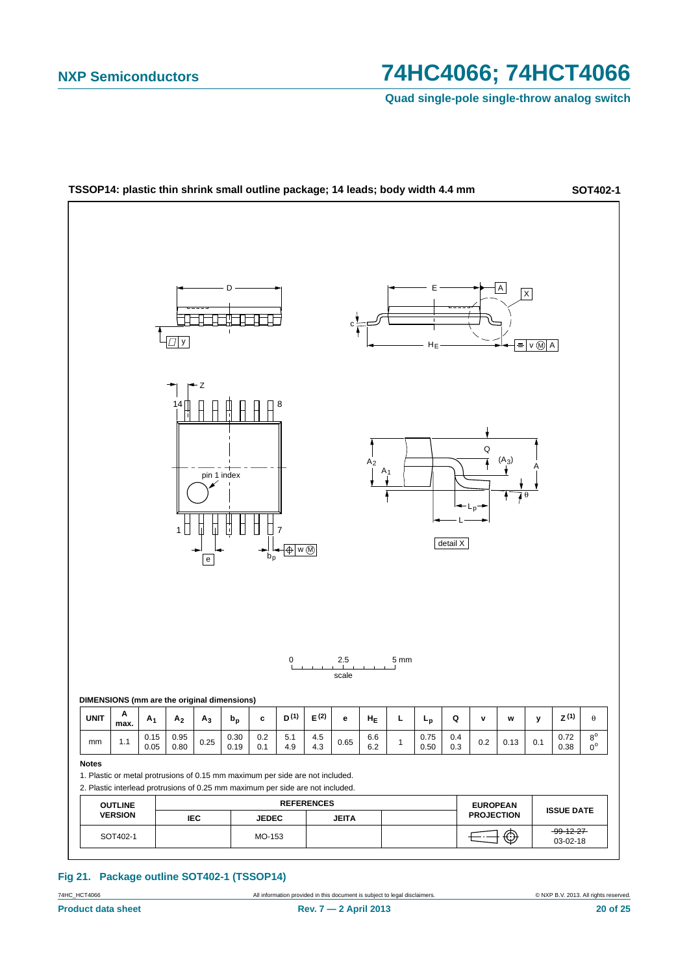**Quad single-pole single-throw analog switch**



### **Fig 21. Package outline SOT402-1 (TSSOP14)**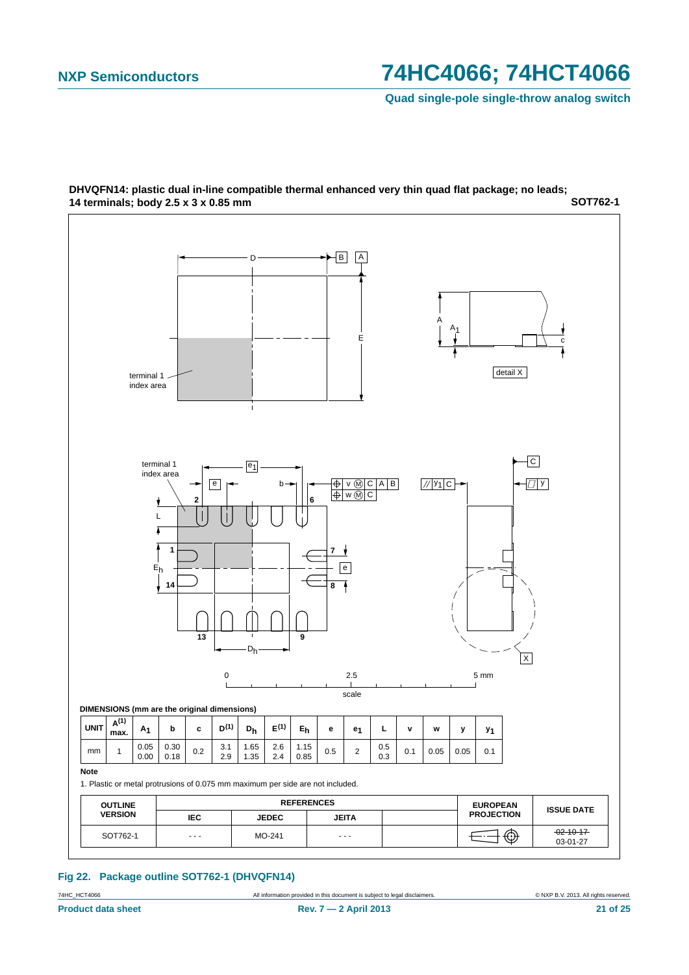**Quad single-pole single-throw analog switch**



**SOT762-1 DHVQFN14: plastic dual in-line compatible thermal enhanced very thin quad flat package; no leads; 14 terminals; body 2.5 x 3 x 0.85 mm**

#### **Fig 22. Package outline SOT762-1 (DHVQFN14)**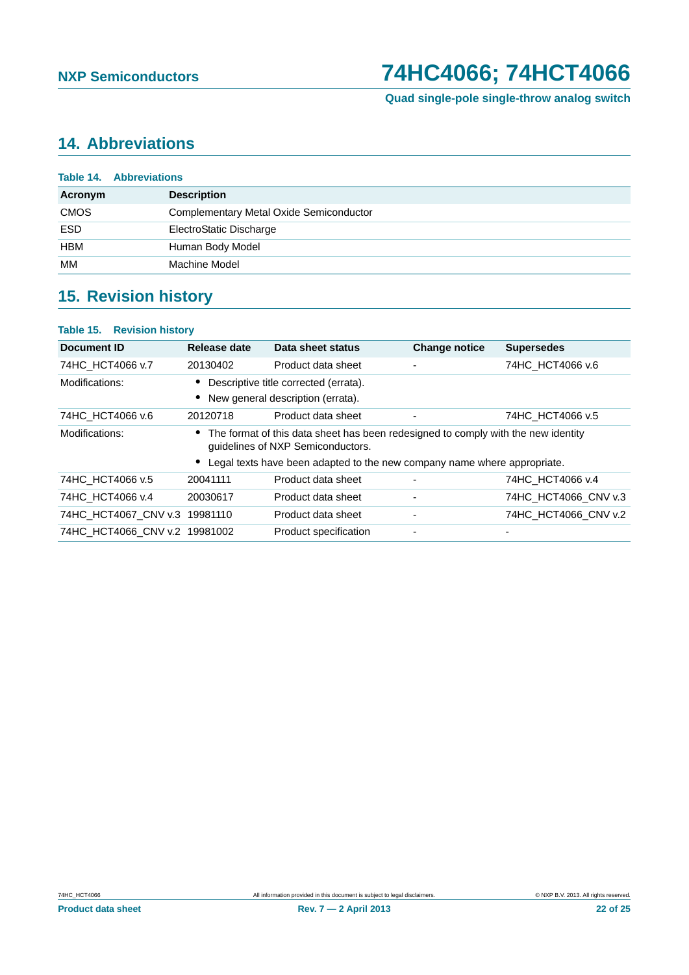## <span id="page-21-0"></span>**14. Abbreviations**

|             | <b>Table 14. Abbreviations</b>                 |
|-------------|------------------------------------------------|
| Acronym     | <b>Description</b>                             |
| <b>CMOS</b> | <b>Complementary Metal Oxide Semiconductor</b> |
| <b>ESD</b>  | ElectroStatic Discharge                        |
| <b>HBM</b>  | Human Body Model                               |
| MМ          | Machine Model                                  |

## <span id="page-21-1"></span>**15. Revision history**

### **Table 15. Revision history**

| Document ID                   | Release date | Data sheet status                                                                                                      | <b>Change notice</b>     | <b>Supersedes</b>    |
|-------------------------------|--------------|------------------------------------------------------------------------------------------------------------------------|--------------------------|----------------------|
| 74HC_HCT4066 v.7              | 20130402     | Product data sheet                                                                                                     | $\overline{\phantom{a}}$ | 74HC HCT4066 v.6     |
| Modifications:                |              | Descriptive title corrected (errata).                                                                                  |                          |                      |
|                               |              | New general description (errata).                                                                                      |                          |                      |
| 74HC_HCT4066 v.6              | 20120718     | Product data sheet                                                                                                     | ٠                        | 74HC HCT4066 v.5     |
| Modifications:                |              | The format of this data sheet has been redesigned to comply with the new identity<br>guidelines of NXP Semiconductors. |                          |                      |
|                               |              | Legal texts have been adapted to the new company name where appropriate.                                               |                          |                      |
| 74HC HCT4066 v.5              | 20041111     | Product data sheet                                                                                                     |                          | 74HC HCT4066 v.4     |
| 74HC HCT4066 v.4              | 20030617     | Product data sheet                                                                                                     | $\overline{\phantom{a}}$ | 74HC HCT4066 CNV v.3 |
| 74HC HCT4067 CNV v.3          | 19981110     | Product data sheet                                                                                                     | $\overline{\phantom{a}}$ | 74HC HCT4066 CNV v.2 |
| 74HC HCT4066 CNV v.2 19981002 |              | Product specification                                                                                                  | $\overline{\phantom{a}}$ |                      |
|                               |              |                                                                                                                        |                          |                      |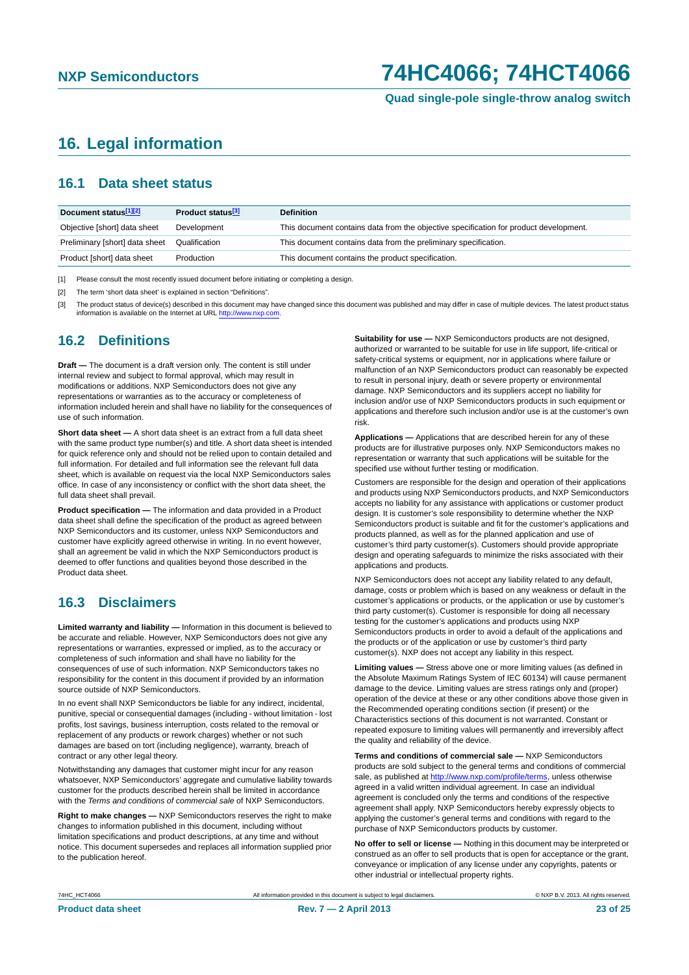## <span id="page-22-0"></span>**16. Legal information**

### <span id="page-22-1"></span>**16.1 Data sheet status**

| Document status[1][2]          | Product status <sup>[3]</sup> | <b>Definition</b>                                                                     |
|--------------------------------|-------------------------------|---------------------------------------------------------------------------------------|
| Objective [short] data sheet   | Development                   | This document contains data from the objective specification for product development. |
| Preliminary [short] data sheet | Qualification                 | This document contains data from the preliminary specification.                       |
| Product [short] data sheet     | Production                    | This document contains the product specification.                                     |

[1] Please consult the most recently issued document before initiating or completing a design.

[2] The term 'short data sheet' is explained in section "Definitions".

[3] The product status of device(s) described in this document may have changed since this document was published and may differ in case of multiple devices. The latest product status<br>information is available on the Intern

### <span id="page-22-2"></span>**16.2 Definitions**

**Draft —** The document is a draft version only. The content is still under internal review and subject to formal approval, which may result in modifications or additions. NXP Semiconductors does not give any representations or warranties as to the accuracy or completeness of information included herein and shall have no liability for the consequences of use of such information.

**Short data sheet —** A short data sheet is an extract from a full data sheet with the same product type number(s) and title. A short data sheet is intended for quick reference only and should not be relied upon to contain detailed and full information. For detailed and full information see the relevant full data sheet, which is available on request via the local NXP Semiconductors sales office. In case of any inconsistency or conflict with the short data sheet, the full data sheet shall prevail.

**Product specification —** The information and data provided in a Product data sheet shall define the specification of the product as agreed between NXP Semiconductors and its customer, unless NXP Semiconductors and customer have explicitly agreed otherwise in writing. In no event however, shall an agreement be valid in which the NXP Semiconductors product is deemed to offer functions and qualities beyond those described in the Product data sheet.

### <span id="page-22-3"></span>**16.3 Disclaimers**

**Limited warranty and liability —** Information in this document is believed to be accurate and reliable. However, NXP Semiconductors does not give any representations or warranties, expressed or implied, as to the accuracy or completeness of such information and shall have no liability for the consequences of use of such information. NXP Semiconductors takes no responsibility for the content in this document if provided by an information source outside of NXP Semiconductors.

In no event shall NXP Semiconductors be liable for any indirect, incidental, punitive, special or consequential damages (including - without limitation - lost profits, lost savings, business interruption, costs related to the removal or replacement of any products or rework charges) whether or not such damages are based on tort (including negligence), warranty, breach of contract or any other legal theory.

Notwithstanding any damages that customer might incur for any reason whatsoever, NXP Semiconductors' aggregate and cumulative liability towards customer for the products described herein shall be limited in accordance with the *Terms and conditions of commercial sale* of NXP Semiconductors.

**Right to make changes —** NXP Semiconductors reserves the right to make changes to information published in this document, including without limitation specifications and product descriptions, at any time and without notice. This document supersedes and replaces all information supplied prior to the publication hereof.

**Suitability for use —** NXP Semiconductors products are not designed, authorized or warranted to be suitable for use in life support, life-critical or safety-critical systems or equipment, nor in applications where failure or malfunction of an NXP Semiconductors product can reasonably be expected to result in personal injury, death or severe property or environmental damage. NXP Semiconductors and its suppliers accept no liability for inclusion and/or use of NXP Semiconductors products in such equipment or applications and therefore such inclusion and/or use is at the customer's own risk.

**Applications —** Applications that are described herein for any of these products are for illustrative purposes only. NXP Semiconductors makes no representation or warranty that such applications will be suitable for the specified use without further testing or modification.

Customers are responsible for the design and operation of their applications and products using NXP Semiconductors products, and NXP Semiconductors accepts no liability for any assistance with applications or customer product design. It is customer's sole responsibility to determine whether the NXP Semiconductors product is suitable and fit for the customer's applications and products planned, as well as for the planned application and use of customer's third party customer(s). Customers should provide appropriate design and operating safeguards to minimize the risks associated with their applications and products.

NXP Semiconductors does not accept any liability related to any default, damage, costs or problem which is based on any weakness or default in the customer's applications or products, or the application or use by customer's third party customer(s). Customer is responsible for doing all necessary testing for the customer's applications and products using NXP Semiconductors products in order to avoid a default of the applications and the products or of the application or use by customer's third party customer(s). NXP does not accept any liability in this respect.

**Limiting values —** Stress above one or more limiting values (as defined in the Absolute Maximum Ratings System of IEC 60134) will cause permanent damage to the device. Limiting values are stress ratings only and (proper) operation of the device at these or any other conditions above those given in the Recommended operating conditions section (if present) or the Characteristics sections of this document is not warranted. Constant or repeated exposure to limiting values will permanently and irreversibly affect the quality and reliability of the device.

**Terms and conditions of commercial sale —** NXP Semiconductors products are sold subject to the general terms and conditions of commercial sale, as published at<http://www.nxp.com/profile/terms>, unless otherwise agreed in a valid written individual agreement. In case an individual agreement is concluded only the terms and conditions of the respective agreement shall apply. NXP Semiconductors hereby expressly objects to applying the customer's general terms and conditions with regard to the purchase of NXP Semiconductors products by customer.

**No offer to sell or license —** Nothing in this document may be interpreted or construed as an offer to sell products that is open for acceptance or the grant, conveyance or implication of any license under any copyrights, patents or other industrial or intellectual property rights.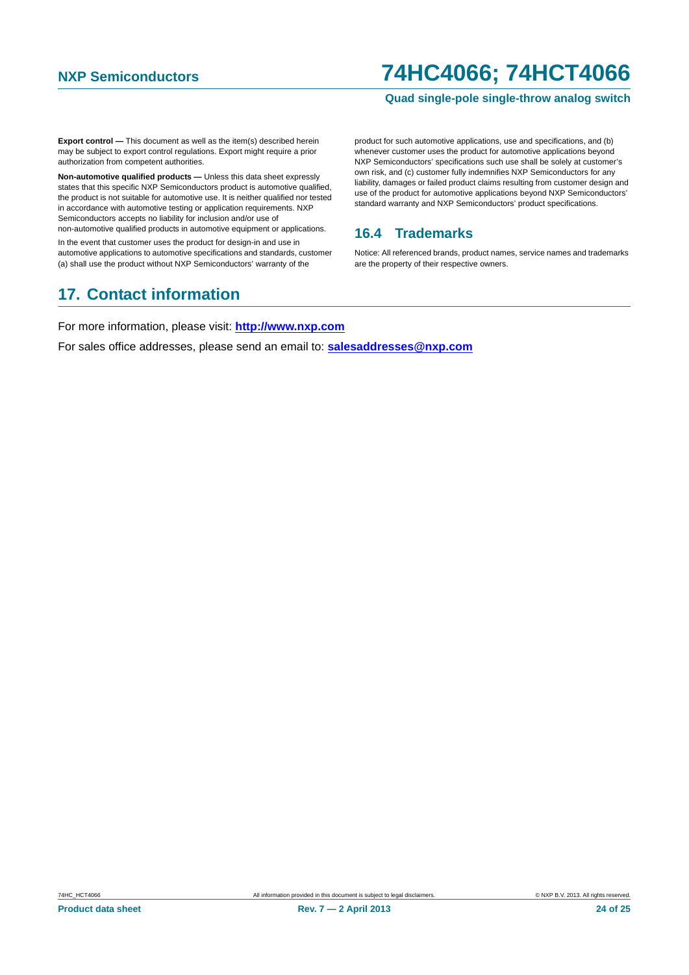#### **Quad single-pole single-throw analog switch**

**Export control —** This document as well as the item(s) described herein may be subject to export control regulations. Export might require a prior authorization from competent authorities.

**Non-automotive qualified products —** Unless this data sheet expressly states that this specific NXP Semiconductors product is automotive qualified, the product is not suitable for automotive use. It is neither qualified nor tested in accordance with automotive testing or application requirements. NXP Semiconductors accepts no liability for inclusion and/or use of non-automotive qualified products in automotive equipment or applications.

In the event that customer uses the product for design-in and use in automotive applications to automotive specifications and standards, customer (a) shall use the product without NXP Semiconductors' warranty of the

## <span id="page-23-1"></span>**17. Contact information**

product for such automotive applications, use and specifications, and (b) whenever customer uses the product for automotive applications beyond NXP Semiconductors' specifications such use shall be solely at customer's own risk, and (c) customer fully indemnifies NXP Semiconductors for any liability, damages or failed product claims resulting from customer design and use of the product for automotive applications beyond NXP Semiconductors' standard warranty and NXP Semiconductors' product specifications.

### <span id="page-23-0"></span>**16.4 Trademarks**

Notice: All referenced brands, product names, service names and trademarks are the property of their respective owners.

For more information, please visit: **http://www.nxp.com**

For sales office addresses, please send an email to: **salesaddresses@nxp.com**